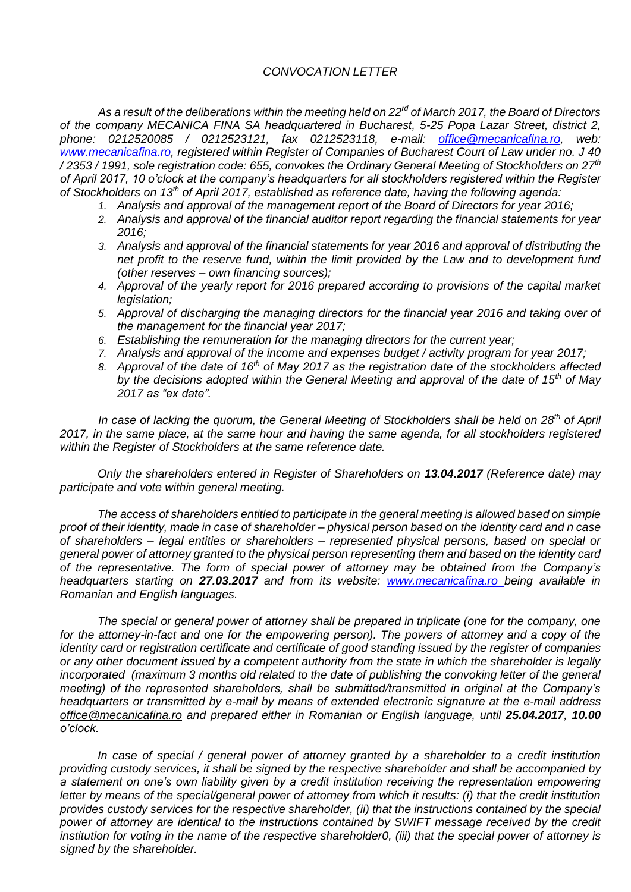## *CONVOCATION LETTER*

*As a result of the deliberations within the meeting held on 22rd of March 2017, the Board of Directors of the company MECANICA FINA SA headquartered in Bucharest, 5-25 Popa Lazar Street, district 2, phone: 0212520085 / 0212523121, fax 0212523118, e-mail: [office@mecanicafina.ro,](mailto:office@mecanicafina.ro) web: [www.mecanicafina.ro,](http://www.mecanicafina.ro/) registered within Register of Companies of Bucharest Court of Law under no. J 40 / 2353 / 1991, sole registration code: 655, convokes the Ordinary General Meeting of Stockholders on 27th of April 2017, 10 o'clock at the company's headquarters for all stockholders registered within the Register of Stockholders on 13th of April 2017, established as reference date, having the following agenda:*

- *1. Analysis and approval of the management report of the Board of Directors for year 2016;*
- *2. Analysis and approval of the financial auditor report regarding the financial statements for year 2016;*
- *3. Analysis and approval of the financial statements for year 2016 and approval of distributing the net profit to the reserve fund, within the limit provided by the Law and to development fund (other reserves – own financing sources);*
- *4. Approval of the yearly report for 2016 prepared according to provisions of the capital market legislation;*
- *5. Approval of discharging the managing directors for the financial year 2016 and taking over of the management for the financial year 2017;*
- *6. Establishing the remuneration for the managing directors for the current year;*
- *7. Analysis and approval of the income and expenses budget / activity program for year 2017;*
- *8. Approval of the date of 16th of May 2017 as the registration date of the stockholders affected by the decisions adopted within the General Meeting and approval of the date of 15th of May 2017 as "ex date".*

*In case of lacking the quorum, the General Meeting of Stockholders shall be held on 28th of April 2017, in the same place, at the same hour and having the same agenda, for all stockholders registered within the Register of Stockholders at the same reference date.*

*Only the shareholders entered in Register of Shareholders on 13.04.2017 (Reference date) may participate and vote within general meeting.*

*The access of shareholders entitled to participate in the general meeting is allowed based on simple proof of their identity, made in case of shareholder – physical person based on the identity card and n case of shareholders – legal entities or shareholders – represented physical persons, based on special or general power of attorney granted to the physical person representing them and based on the identity card of the representative. The form of special power of attorney may be obtained from the Company's headquarters starting on 27.03.2017 and from its website: [www.mecanicafina.ro](http://www.mecanicafina.ro/) [b](http://www.mecanicafina.ro/)eing available in Romanian and English languages.* 

*The special or general power of attorney shall be prepared in triplicate (one for the company, one for the attorney-in-fact and one for the empowering person). The powers of attorney and a copy of the identity card or registration certificate and certificate of good standing issued by the register of companies or any other document issued by a competent authority from the state in which the shareholder is legally incorporated (maximum 3 months old related to the date of publishing the convoking letter of the general meeting) of the represented shareholders, shall be submitted/transmitted in original at the Company's headquarters or transmitted by e-mail by means of extended electronic signature at the e-mail address office@mecanicafina.ro and prepared either in Romanian or English language, until 25.04.2017, 10.00 o'clock.* 

*In case of special / general power of attorney granted by a shareholder to a credit institution providing custody services, it shall be signed by the respective shareholder and shall be accompanied by a statement on one's own liability given by a credit institution receiving the representation empowering letter by means of the special/general power of attorney from which it results: (i) that the credit institution provides custody services for the respective shareholder, (ii) that the instructions contained by the special*  power of attorney are identical to the instructions contained by SWIFT message received by the credit *institution for voting in the name of the respective shareholder0, (iii) that the special power of attorney is signed by the shareholder.*